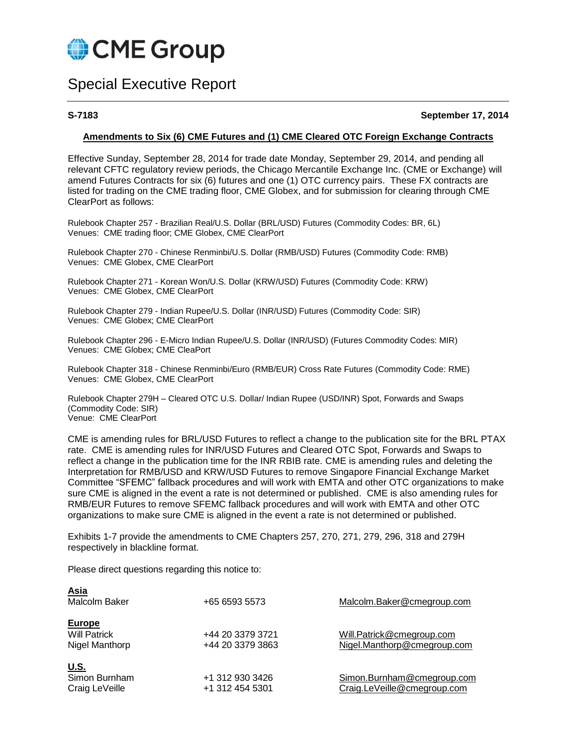

# Special Executive Report

**S-7183 September 17, 2014**

#### **Amendments to Six (6) CME Futures and (1) CME Cleared OTC Foreign Exchange Contracts**

Effective Sunday, September 28, 2014 for trade date Monday, September 29, 2014, and pending all relevant CFTC regulatory review periods, the Chicago Mercantile Exchange Inc. (CME or Exchange) will amend Futures Contracts for six (6) futures and one (1) OTC currency pairs. These FX contracts are listed for trading on the CME trading floor, CME Globex, and for submission for clearing through CME ClearPort as follows:

Rulebook Chapter 257 - Brazilian Real/U.S. Dollar (BRL/USD) Futures (Commodity Codes: BR, 6L) Venues: CME trading floor; CME Globex, CME ClearPort

Rulebook Chapter 270 - Chinese Renminbi/U.S. Dollar (RMB/USD) Futures (Commodity Code: RMB) Venues: CME Globex, CME ClearPort

Rulebook Chapter 271 - Korean Won/U.S. Dollar (KRW/USD) Futures (Commodity Code: KRW) Venues: CME Globex, CME ClearPort

Rulebook Chapter 279 - Indian Rupee/U.S. Dollar (INR/USD) Futures (Commodity Code: SIR) Venues: CME Globex; CME ClearPort

Rulebook Chapter 296 - E-Micro Indian Rupee/U.S. Dollar (INR/USD) (Futures Commodity Codes: MIR) Venues: CME Globex; CME CleaPort

Rulebook Chapter 318 - Chinese Renminbi/Euro (RMB/EUR) Cross Rate Futures (Commodity Code: RME) Venues: CME Globex, CME ClearPort

Rulebook Chapter 279H – Cleared OTC U.S. Dollar/ Indian Rupee (USD/INR) Spot, Forwards and Swaps (Commodity Code: SIR) Venue: CME ClearPort

CME is amending rules for BRL/USD Futures to reflect a change to the publication site for the BRL PTAX rate. CME is amending rules for INR/USD Futures and Cleared OTC Spot, Forwards and Swaps to reflect a change in the publication time for the INR RBIB rate. CME is amending rules and deleting the Interpretation for RMB/USD and KRW/USD Futures to remove Singapore Financial Exchange Market Committee "SFEMC" fallback procedures and will work with EMTA and other OTC organizations to make sure CME is aligned in the event a rate is not determined or published. CME is also amending rules for RMB/EUR Futures to remove SFEMC fallback procedures and will work with EMTA and other OTC organizations to make sure CME is aligned in the event a rate is not determined or published.

Exhibits 1-7 provide the amendments to CME Chapters 257, 270, 271, 279, 296, 318 and 279H respectively in blackline format.

Please direct questions regarding this notice to:

| <b>Asia</b><br>Malcolm Baker                    | +65 6593 5573                        | Malcolm.Baker@cmegroup.com                                |
|-------------------------------------------------|--------------------------------------|-----------------------------------------------------------|
| Europe<br><b>Will Patrick</b><br>Nigel Manthorp | +44 20 3379 3721<br>+44 20 3379 3863 | Will.Patrick@cmegroup.com<br>Nigel.Manthorp@cmegroup.com  |
| <u>U.S.</u><br>Simon Burnham<br>Craig LeVeille  | +1 312 930 3426<br>+1 312 454 5301   | Simon.Burnham@cmegroup.com<br>Craig.LeVeille@cmegroup.com |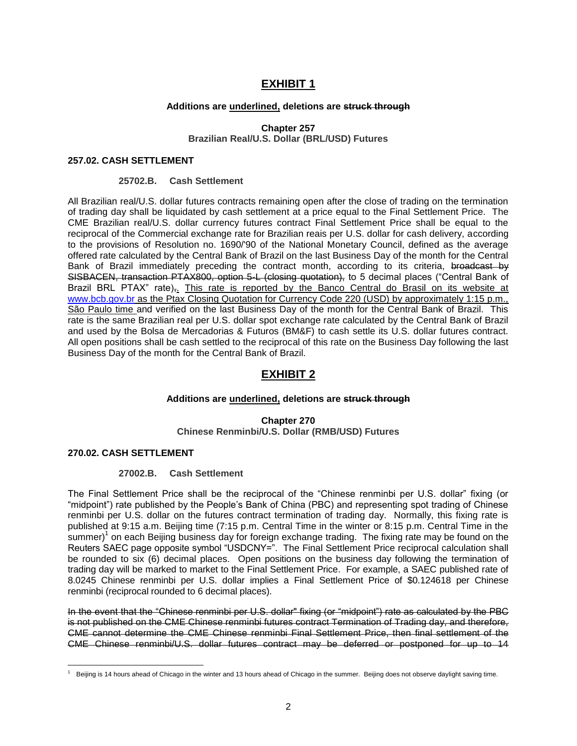# **EXHIBIT 1**

# **Additions are underlined, deletions are struck through**

**Chapter 257 Brazilian Real/U.S. Dollar (BRL/USD) Futures**

# **257.02. CASH SETTLEMENT**

# **25702.B. Cash Settlement**

All Brazilian real/U.S. dollar futures contracts remaining open after the close of trading on the termination of trading day shall be liquidated by cash settlement at a price equal to the Final Settlement Price. The CME Brazilian real/U.S. dollar currency futures contract Final Settlement Price shall be equal to the reciprocal of the Commercial exchange rate for Brazilian reais per U.S. dollar for cash delivery, according to the provisions of Resolution no. 1690/'90 of the National Monetary Council, defined as the average offered rate calculated by the Central Bank of Brazil on the last Business Day of the month for the Central Bank of Brazil immediately preceding the contract month, according to its criteria, broadcast by SISBACEN, transaction PTAX800, option 5-L (closing quotation), to 5 decimal places ("Central Bank of Brazil BRL PTAX" rate). This rate is reported by the Banco Central do Brasil on its website at [www.bcb.gov.br](http://www.bcb.gov.br/) as the Ptax Closing Quotation for Currency Code 220 (USD) by approximately 1:15 p.m., São Paulo time and verified on the last Business Day of the month for the Central Bank of Brazil. This rate is the same Brazilian real per U.S. dollar spot exchange rate calculated by the Central Bank of Brazil and used by the Bolsa de Mercadorias & Futuros (BM&F) to cash settle its U.S. dollar futures contract. All open positions shall be cash settled to the reciprocal of this rate on the Business Day following the last Business Day of the month for the Central Bank of Brazil.

# **EXHIBIT 2**

# **Additions are underlined, deletions are struck through**

**Chapter 270 Chinese Renminbi/U.S. Dollar (RMB/USD) Futures**

# **270.02. CASH SETTLEMENT**

 $\overline{a}$ 

# **27002.B. Cash Settlement**

The Final Settlement Price shall be the reciprocal of the "Chinese renminbi per U.S. dollar" fixing (or "midpoint") rate published by the People's Bank of China (PBC) and representing spot trading of Chinese renminbi per U.S. dollar on the futures contract termination of trading day. Normally, this fixing rate is published at 9:15 a.m. Beijing time (7:15 p.m. Central Time in the winter or 8:15 p.m. Central Time in the summer)<sup>1</sup> on each Beijing business day for foreign exchange trading. The fixing rate may be found on the Reuters SAEC page opposite symbol "USDCNY=". The Final Settlement Price reciprocal calculation shall be rounded to six (6) decimal places. Open positions on the business day following the termination of trading day will be marked to market to the Final Settlement Price. For example, a SAEC published rate of 8.0245 Chinese renminbi per U.S. dollar implies a Final Settlement Price of \$0.124618 per Chinese renminbi (reciprocal rounded to 6 decimal places).

In the event that the "Chinese renminbi per U.S. dollar" fixing (or "midpoint") rate as calculated by the PBC is not published on the CME Chinese renminbi futures contract Termination of Trading day, and therefore, CME cannot determine the CME Chinese renminbi Final Settlement Price, then final settlement of the CME Chinese renminbi/U.S. dollar futures contract may be deferred or postponed for up to 14

Beijing is 14 hours ahead of Chicago in the winter and 13 hours ahead of Chicago in the summer. Beijing does not observe daylight saving time.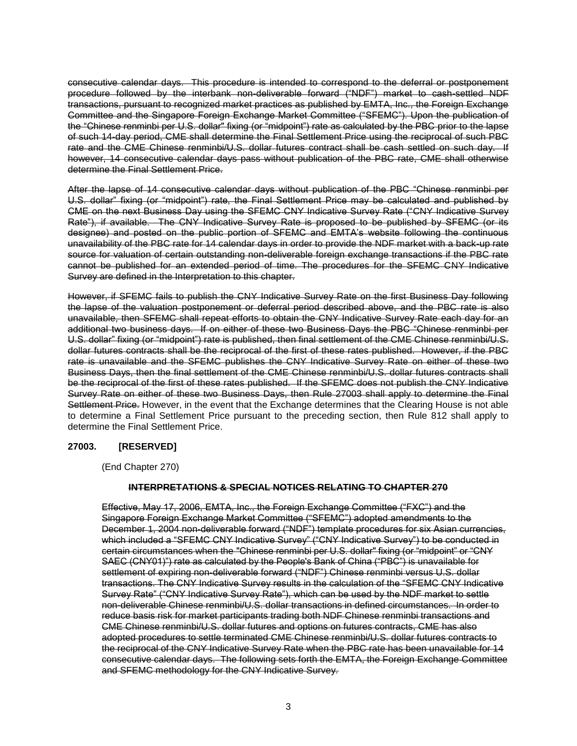consecutive calendar days. This procedure is intended to correspond to the deferral or postponement procedure followed by the interbank non-deliverable forward ("NDF") market to cash-settled NDF transactions, pursuant to recognized market practices as published by EMTA, Inc., the Foreign Exchange Committee and the Singapore Foreign Exchange Market Committee ("SFEMC"). Upon the publication of the "Chinese renminbi per U.S. dollar" fixing (or "midpoint") rate as calculated by the PBC prior to the lapse of such 14-day period, CME shall determine the Final Settlement Price using the reciprocal of such PBC rate and the CME Chinese renminbi/U.S. dollar futures contract shall be cash settled on such day. If however, 14 consecutive calendar days pass without publication of the PBC rate, CME shall otherwise determine the Final Settlement Price.

After the lapse of 14 consecutive calendar days without publication of the PBC "Chinese renminbi per U.S. dollar" fixing (or "midpoint") rate, the Final Settlement Price may be calculated and published by CME on the next Business Day using the SFEMC CNY Indicative Survey Rate ("CNY Indicative Survey Rate"), if available. The CNY Indicative Survey Rate is proposed to be published by SFEMC (or its designee) and posted on the public portion of SFEMC and EMTA's website following the continuous unavailability of the PBC rate for 14 calendar days in order to provide the NDF market with a back-up rate source for valuation of certain outstanding non-deliverable foreign exchange transactions if the PBC rate cannot be published for an extended period of time. The procedures for the SFEMC CNY Indicative Survey are defined in the Interpretation to this chapter.

However, if SFEMC fails to publish the CNY Indicative Survey Rate on the first Business Day following the lapse of the valuation postponement or deferral period described above, and the PBC rate is also unavailable, then SFEMC shall repeat efforts to obtain the CNY Indicative Survey Rate each day for an additional two business days. If on either of these two Business Days the PBC "Chinese renminbi per U.S. dollar" fixing (or "midpoint") rate is published, then final settlement of the CME Chinese renminbi/U.S. dollar futures contracts shall be the reciprocal of the first of these rates published. However, if the PBC rate is unavailable and the SFEMC publishes the CNY Indicative Survey Rate on either of these two Business Days, then the final settlement of the CME Chinese renminbi/U.S. dollar futures contracts shall be the reciprocal of the first of these rates published. If the SFEMC does not publish the CNY Indicative Survey Rate on either of these two Business Days, then Rule 27003 shall apply to determine the Final Settlement Price. However, in the event that the Exchange determines that the Clearing House is not able to determine a Final Settlement Price pursuant to the preceding section, then Rule 812 shall apply to determine the Final Settlement Price.

# **27003. [RESERVED]**

(End Chapter 270)

# **INTERPRETATIONS & SPECIAL NOTICES RELATING TO CHAPTER 270**

Effective, May 17, 2006, EMTA, Inc., the Foreign Exchange Committee ("FXC") and the Singapore Foreign Exchange Market Committee ("SFEMC") adopted amendments to the December 1, 2004 non-deliverable forward ("NDF") template procedures for six Asian currencies, which included a "SFEMC CNY Indicative Survey" ("CNY Indicative Survey") to be conducted in certain circumstances when the "Chinese renminbi per U.S. dollar" fixing (or "midpoint" or "CNY SAEC (CNY01)") rate as calculated by the People's Bank of China ("PBC") is unavailable for settlement of expiring non-deliverable forward ("NDF") Chinese renminbi versus U.S. dollar transactions. The CNY Indicative Survey results in the calculation of the "SFEMC CNY Indicative Survey Rate" ("CNY Indicative Survey Rate"), which can be used by the NDF market to settle non-deliverable Chinese renminbi/U.S. dollar transactions in defined circumstances. In order to reduce basis risk for market participants trading both NDF Chinese renminbi transactions and CME Chinese renminbi/U.S. dollar futures and options on futures contracts, CME has also adopted procedures to settle terminated CME Chinese renminbi/U.S. dollar futures contracts to the reciprocal of the CNY Indicative Survey Rate when the PBC rate has been unavailable for 14 consecutive calendar days. The following sets forth the EMTA, the Foreign Exchange Committee and SFEMC methodology for the CNY Indicative Survey.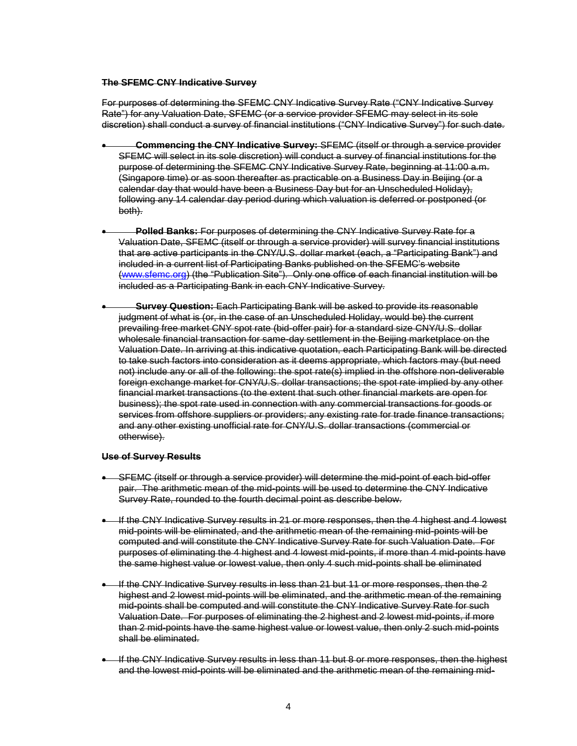#### **The SFEMC CNY Indicative Survey**

For purposes of determining the SFEMC CNY Indicative Survey Rate ("CNY Indicative Survey Rate") for any Valuation Date, SFEMC (or a service provider SFEMC may select in its sole discretion) shall conduct a survey of financial institutions ("CNY Indicative Survey") for such date.

- **Commencing the CNY Indicative Survey:** SFEMC (itself or through a service provider SFEMC will select in its sole discretion) will conduct a survey of financial institutions for the purpose of determining the SFEMC CNY Indicative Survey Rate, beginning at 11:00 a.m. (Singapore time) or as soon thereafter as practicable on a Business Day in Beijing (or a calendar day that would have been a Business Day but for an Unscheduled Holiday), following any 14 calendar day period during which valuation is deferred or postponed (or both).
- **Polled Banks:** For purposes of determining the CNY Indicative Survey Rate for a Valuation Date, SFEMC (itself or through a service provider) will survey financial institutions that are active participants in the CNY/U.S. dollar market (each, a "Participating Bank") and included in a current list of Participating Banks published on the SFEMC's website [\(www.sfemc.org\)](http://www.sfemc.org/) (the "Publication Site"). Only one office of each financial institution will be included as a Participating Bank in each CNY Indicative Survey.
- **Survey Question:** Each Participating Bank will be asked to provide its reasonable judgment of what is (or, in the case of an Unscheduled Holiday, would be) the current prevailing free market CNY spot rate (bid-offer pair) for a standard size CNY/U.S. dollar wholesale financial transaction for same-day settlement in the Beijing marketplace on the Valuation Date. In arriving at this indicative quotation, each Participating Bank will be directed to take such factors into consideration as it deems appropriate, which factors may (but need not) include any or all of the following: the spot rate(s) implied in the offshore non-deliverable foreign exchange market for CNY/U.S. dollar transactions; the spot rate implied by any other financial market transactions (to the extent that such other financial markets are open for business); the spot rate used in connection with any commercial transactions for goods or services from offshore suppliers or providers; any existing rate for trade finance transactions; and any other existing unofficial rate for CNY/U.S. dollar transactions (commercial or otherwise).

#### **Use of Survey Results**

- SFEMC (itself or through a service provider) will determine the mid-point of each bid-offer pair. The arithmetic mean of the mid-points will be used to determine the CNY Indicative Survey Rate, rounded to the fourth decimal point as describe below.
- If the CNY Indicative Survey results in 21 or more responses, then the 4 highest and 4 lowest mid-points will be eliminated, and the arithmetic mean of the remaining mid-points will be computed and will constitute the CNY Indicative Survey Rate for such Valuation Date. For purposes of eliminating the 4 highest and 4 lowest mid-points, if more than 4 mid-points have the same highest value or lowest value, then only 4 such mid-points shall be eliminated
- If the CNY Indicative Survey results in less than 21 but 11 or more responses, then the 2 highest and 2 lowest mid-points will be eliminated, and the arithmetic mean of the remaining mid-points shall be computed and will constitute the CNY Indicative Survey Rate for such Valuation Date. For purposes of eliminating the 2 highest and 2 lowest mid-points, if more than 2 mid-points have the same highest value or lowest value, then only 2 such mid-points shall be eliminated.
- If the CNY Indicative Survey results in less than 11 but 8 or more responses, then the highest and the lowest mid-points will be eliminated and the arithmetic mean of the remaining mid-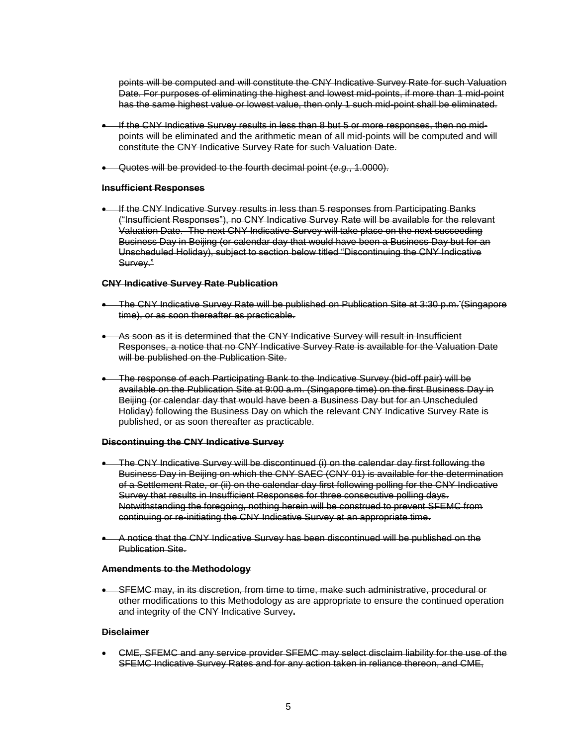points will be computed and will constitute the CNY Indicative Survey Rate for such Valuation Date. For purposes of eliminating the highest and lowest mid-points, if more than 1 mid-point has the same highest value or lowest value, then only 1 such mid-point shall be eliminated.

- **If the CNY Indicative Survey results in less than 8 but 5 or more responses, then no mid**points will be eliminated and the arithmetic mean of all mid-points will be computed and will constitute the CNY Indicative Survey Rate for such Valuation Date.
- Quotes will be provided to the fourth decimal point (*e.g.*, 1.0000).

#### **Insufficient Responses**

 If the CNY Indicative Survey results in less than 5 responses from Participating Banks ("Insufficient Responses"), no CNY Indicative Survey Rate will be available for the relevant Valuation Date. The next CNY Indicative Survey will take place on the next succeeding Business Day in Beijing (or calendar day that would have been a Business Day but for an Unscheduled Holiday), subject to section below titled "Discontinuing the CNY Indicative Survey."

#### **CNY Indicative Survey Rate Publication**

- The CNY Indicative Survey Rate will be published on Publication Site at 3:30 p.m. (Singapore time), or as soon thereafter as practicable.
- As soon as it is determined that the CNY Indicative Survey will result in Insufficient Responses, a notice that no CNY Indicative Survey Rate is available for the Valuation Date will be published on the Publication Site.
- The response of each Participating Bank to the Indicative Survey (bid-off pair) will be available on the Publication Site at 9:00 a.m. (Singapore time) on the first Business Day in Beijing (or calendar day that would have been a Business Day but for an Unscheduled Holiday) following the Business Day on which the relevant CNY Indicative Survey Rate is published, or as soon thereafter as practicable.

#### **Discontinuing the CNY Indicative Survey**

- The CNY Indicative Survey will be discontinued (i) on the calendar day first following the Business Day in Beijing on which the CNY SAEC (CNY 01) is available for the determination of a Settlement Rate, or (ii) on the calendar day first following polling for the CNY Indicative Survey that results in Insufficient Responses for three consecutive polling days. Notwithstanding the foregoing, nothing herein will be construed to prevent SFEMC from continuing or re-initiating the CNY Indicative Survey at an appropriate time.
- A notice that the CNY Indicative Survey has been discontinued will be published on the Publication Site.

# **Amendments to the Methodology**

 SFEMC may, in its discretion, from time to time, make such administrative, procedural or other modifications to this Methodology as are appropriate to ensure the continued operation and integrity of the CNY Indicative Survey**.**

# **Disclaimer**

 CME, SFEMC and any service provider SFEMC may select disclaim liability for the use of the SFEMC Indicative Survey Rates and for any action taken in reliance thereon, and CME,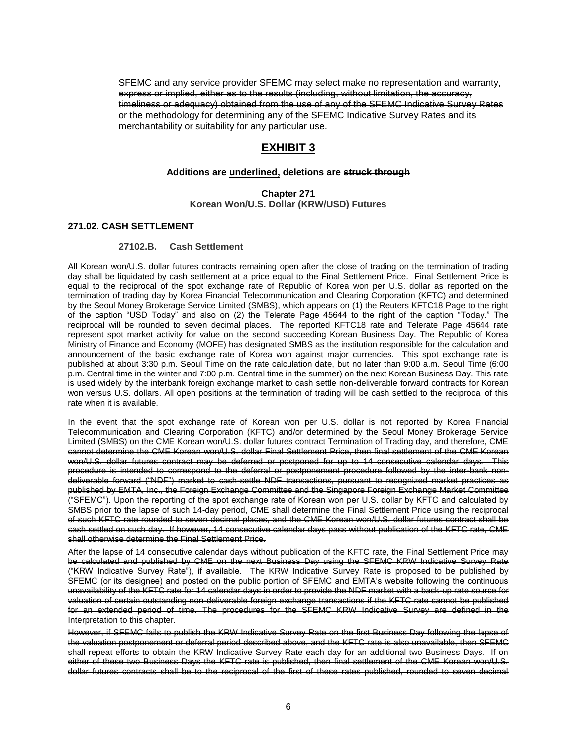SFEMC and any service provider SFEMC may select make no representation and warranty, express or implied, either as to the results (including, without limitation, the accuracy, timeliness or adequacy) obtained from the use of any of the SFEMC Indicative Survey Rates or the methodology for determining any of the SFEMC Indicative Survey Rates and its merchantability or suitability for any particular use.

# **EXHIBIT 3**

#### **Additions are underlined, deletions are struck through**

**Chapter 271 Korean Won/U.S. Dollar (KRW/USD) Futures**

#### **271.02. CASH SETTLEMENT**

#### **27102.B. Cash Settlement**

All Korean won/U.S. dollar futures contracts remaining open after the close of trading on the termination of trading day shall be liquidated by cash settlement at a price equal to the Final Settlement Price. Final Settlement Price is equal to the reciprocal of the spot exchange rate of Republic of Korea won per U.S. dollar as reported on the termination of trading day by Korea Financial Telecommunication and Clearing Corporation (KFTC) and determined by the Seoul Money Brokerage Service Limited (SMBS), which appears on (1) the Reuters KFTC18 Page to the right of the caption "USD Today" and also on (2) the Telerate Page 45644 to the right of the caption "Today." The reciprocal will be rounded to seven decimal places. The reported KFTC18 rate and Telerate Page 45644 rate represent spot market activity for value on the second succeeding Korean Business Day. The Republic of Korea Ministry of Finance and Economy (MOFE) has designated SMBS as the institution responsible for the calculation and announcement of the basic exchange rate of Korea won against major currencies. This spot exchange rate is published at about 3:30 p.m. Seoul Time on the rate calculation date, but no later than 9:00 a.m. Seoul Time (6:00 p.m. Central time in the winter and 7:00 p.m. Central time in the summer) on the next Korean Business Day. This rate is used widely by the interbank foreign exchange market to cash settle non-deliverable forward contracts for Korean won versus U.S. dollars. All open positions at the termination of trading will be cash settled to the reciprocal of this rate when it is available.

In the event that the spot exchange rate of Korean won per U.S. dollar is not reported by Korea Financial Telecommunication and Clearing Corporation (KFTC) and/or determined by the Seoul Money Brokerage Service Limited (SMBS) on the CME Korean won/U.S. dollar futures contract Termination of Trading day, and therefore, CME cannot determine the CME Korean won/U.S. dollar Final Settlement Price, then final settlement of the CME Korean won/U.S. dollar futures contract may be deferred or postponed for up to 14 consecutive calendar days. This procedure is intended to correspond to the deferral or postponement procedure followed by the inter-bank nondeliverable forward ("NDF") market to cash-settle NDF transactions, pursuant to recognized market practices as published by EMTA, Inc., the Foreign Exchange Committee and the Singapore Foreign Exchange Market Committee ("SFEMC"). Upon the reporting of the spot exchange rate of Korean won per U.S. dollar by KFTC and calculated by SMBS prior to the lapse of such 14-day period, CME shall determine the Final Settlement Price using the reciprocal of such KFTC rate rounded to seven decimal places, and the CME Korean won/U.S. dollar futures contract shall be cash settled on such day. If however, 14 consecutive calendar days pass without publication of the KFTC rate, CME shall otherwise determine the Final Settlement Price.

After the lapse of 14 consecutive calendar days without publication of the KFTC rate, the Final Settlement Price may be calculated and published by CME on the next Business Day using the SFEMC KRW Indicative Survey Rate ("KRW Indicative Survey Rate"), if available. The KRW Indicative Survey Rate is proposed to be published by SFEMC (or its designee) and posted on the public portion of SFEMC and EMTA's website following the continuous unavailability of the KFTC rate for 14 calendar days in order to provide the NDF market with a back-up rate source for valuation of certain outstanding non-deliverable foreign exchange transactions if the KFTC rate cannot be published for an extended period of time. The procedures for the SFEMC KRW Indicative Survey are defined in the Interpretation to this chapter.

However, if SFEMC fails to publish the KRW Indicative Survey Rate on the first Business Day following the lapse of the valuation postponement or deferral period described above, and the KFTC rate is also unavailable, then SFEMC shall repeat efforts to obtain the KRW Indicative Survey Rate each day for an additional two Business Days. If on either of these two Business Days the KFTC rate is published, then final settlement of the CME Korean won/U.S. dollar futures contracts shall be to the reciprocal of the first of these rates published, rounded to seven decimal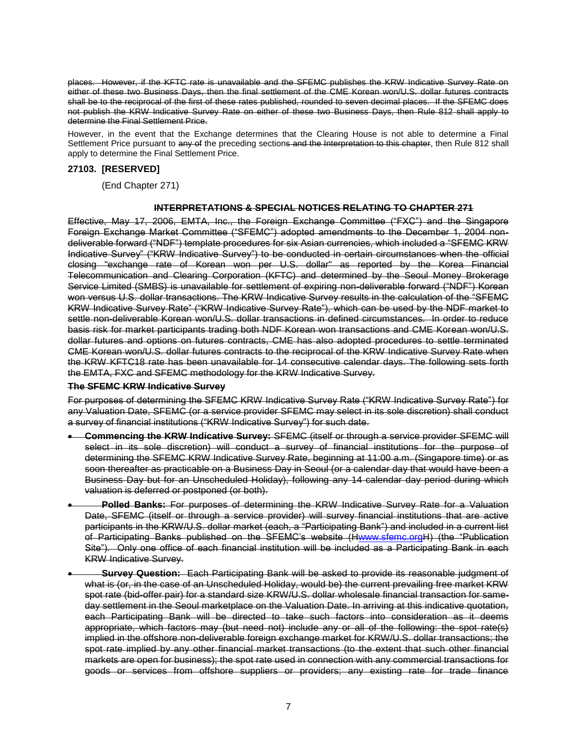places. However, if the KFTC rate is unavailable and the SFEMC publishes the KRW Indicative Survey Rate on either of these two Business Days, then the final settlement of the CME Korean won/U.S. dollar futures contracts shall be to the reciprocal of the first of these rates published, rounded to seven decimal places. If the SFEMC does not publish the KRW Indicative Survey Rate on either of these two Business Days, then Rule 812 shall apply to determine the Final Settlement Price.

However, in the event that the Exchange determines that the Clearing House is not able to determine a Final Settlement Price pursuant to any of the preceding sections and the Interpretation to this chapter, then Rule 812 shall apply to determine the Final Settlement Price.

# **27103. [RESERVED]**

(End Chapter 271)

# **INTERPRETATIONS & SPECIAL NOTICES RELATING TO CHAPTER 271**

Effective, May 17, 2006, EMTA, Inc., the Foreign Exchange Committee ("FXC") and the Singapore Foreign Exchange Market Committee ("SFEMC") adopted amendments to the December 1, 2004 nondeliverable forward ("NDF") template procedures for six Asian currencies, which included a "SFEMC KRW Indicative Survey" ("KRW Indicative Survey") to be conducted in certain circumstances when the official closing "exchange rate of Korean won per U.S. dollar" as reported by the Korea Financial Telecommunication and Clearing Corporation (KFTC) and determined by the Seoul Money Brokerage Service Limited (SMBS) is unavailable for settlement of expiring non-deliverable forward ("NDF") Korean won versus U.S. dollar transactions. The KRW Indicative Survey results in the calculation of the "SFEMC KRW Indicative Survey Rate" ("KRW Indicative Survey Rate"), which can be used by the NDF market to settle non-deliverable Korean won/U.S. dollar transactions in defined circumstances. In order to reduce basis risk for market participants trading both NDF Korean won transactions and CME Korean won/U.S. dollar futures and options on futures contracts, CME has also adopted procedures to settle terminated CME Korean won/U.S. dollar futures contracts to the reciprocal of the KRW Indicative Survey Rate when the KRW KFTC18 rate has been unavailable for 14 consecutive calendar days. The following sets forth the EMTA, FXC and SFEMC methodology for the KRW Indicative Survey.

# **The SFEMC KRW Indicative Survey**

For purposes of determining the SFEMC KRW Indicative Survey Rate ("KRW Indicative Survey Rate") for any Valuation Date, SFEMC (or a service provider SFEMC may select in its sole discretion) shall conduct a survey of financial institutions ("KRW Indicative Survey") for such date.

- **Commencing the KRW Indicative Survey:** SFEMC (itself or through a service provider SFEMC will select in its sole discretion) will conduct a survey of financial institutions for the purpose of determining the SFEMC KRW Indicative Survey Rate, beginning at 11:00 a.m. (Singapore time) or as soon thereafter as practicable on a Business Day in Seoul (or a calendar day that would have been a Business Day but for an Unscheduled Holiday), following any 14 calendar day period during which valuation is deferred or postponed (or both).
- **Polled Banks:** For purposes of determining the KRW Indicative Survey Rate for a Valuation Date, SFEMC (itself or through a service provider) will survey financial institutions that are active participants in the KRW/U.S. dollar market (each, a "Participating Bank") and included in a current list of Participating Banks published on the SFEMC's website ([Hwww.sfemc.orgH](http://www.sfemc.org/)) (the "Publication Site"). Only one office of each financial institution will be included as a Participating Bank in each KRW Indicative Survey.
- **Survey Question:** Each Participating Bank will be asked to provide its reasonable judgment of what is (or, in the case of an Unscheduled Holiday, would be) the current prevailing free market KRW spot rate (bid-offer pair) for a standard size KRW/U.S. dollar wholesale financial transaction for sameday settlement in the Seoul marketplace on the Valuation Date. In arriving at this indicative quotation, each Participating Bank will be directed to take such factors into consideration as it deems appropriate, which factors may (but need not) include any or all of the following: the spot rate(s) implied in the offshore non-deliverable foreign exchange market for KRW/U.S. dollar transactions; the spot rate implied by any other financial market transactions (to the extent that such other financial markets are open for business); the spot rate used in connection with any commercial transactions for goods or services from offshore suppliers or providers; any existing rate for trade finance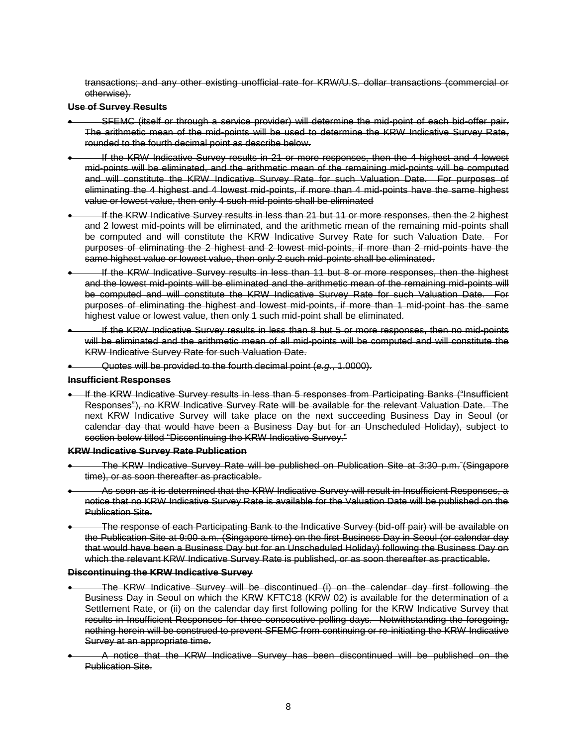transactions; and any other existing unofficial rate for KRW/U.S. dollar transactions (commercial or otherwise).

#### **Use of Survey Results**

- SFEMC (itself or through a service provider) will determine the mid-point of each bid-offer pair. The arithmetic mean of the mid-points will be used to determine the KRW Indicative Survey Rate, rounded to the fourth decimal point as describe below.
- If the KRW Indicative Survey results in 21 or more responses, then the 4 highest and 4 lowest mid-points will be eliminated, and the arithmetic mean of the remaining mid-points will be computed and will constitute the KRW Indicative Survey Rate for such Valuation Date. For purposes of eliminating the 4 highest and 4 lowest mid-points, if more than 4 mid-points have the same highest value or lowest value, then only 4 such mid-points shall be eliminated
- If the KRW Indicative Survey results in less than 21 but 11 or more responses, then the 2 highest and 2 lowest mid-points will be eliminated, and the arithmetic mean of the remaining mid-points shall be computed and will constitute the KRW Indicative Survey Rate for such Valuation Date. For purposes of eliminating the 2 highest and 2 lowest mid-points, if more than 2 mid-points have the same highest value or lowest value, then only 2 such mid-points shall be eliminated.
- If the KRW Indicative Survey results in less than 11 but 8 or more responses, then the highest and the lowest mid-points will be eliminated and the arithmetic mean of the remaining mid-points will be computed and will constitute the KRW Indicative Survey Rate for such Valuation Date. For purposes of eliminating the highest and lowest mid-points, if more than 1 mid-point has the same highest value or lowest value, then only 1 such mid-point shall be eliminated.
- If the KRW Indicative Survey results in less than 8 but 5 or more responses, then no mid-points will be eliminated and the arithmetic mean of all mid-points will be computed and will constitute the KRW Indicative Survey Rate for such Valuation Date.
- Quotes will be provided to the fourth decimal point (*e.g.*, 1.0000).

#### **Insufficient Responses**

• If the KRW Indicative Survey results in less than 5 responses from Participating Banks ("Insufficient Responses"), no KRW Indicative Survey Rate will be available for the relevant Valuation Date. The next KRW Indicative Survey will take place on the next succeeding Business Day in Seoul (or calendar day that would have been a Business Day but for an Unscheduled Holiday), subject to section below titled "Discontinuing the KRW Indicative Survey."

#### **KRW Indicative Survey Rate Publication**

- The KRW Indicative Survey Rate will be published on Publication Site at 3:30 p.m. (Singapore time), or as soon thereafter as practicable.
- As soon as it is determined that the KRW Indicative Survey will result in Insufficient Responses, a notice that no KRW Indicative Survey Rate is available for the Valuation Date will be published on the Publication Site.
- The response of each Participating Bank to the Indicative Survey (bid-off pair) will be available on the Publication Site at 9:00 a.m. (Singapore time) on the first Business Day in Seoul (or calendar day that would have been a Business Day but for an Unscheduled Holiday) following the Business Day on which the relevant KRW Indicative Survey Rate is published, or as soon thereafter as practicable.

# **Discontinuing the KRW Indicative Survey**

- The KRW Indicative Survey will be discontinued (i) on the calendar day first following the Business Day in Seoul on which the KRW KFTC18 (KRW 02) is available for the determination of a Settlement Rate, or (ii) on the calendar day first following polling for the KRW Indicative Survey that results in Insufficient Responses for three consecutive polling days. Notwithstanding the foregoing, nothing herein will be construed to prevent SFEMC from continuing or re-initiating the KRW Indicative Survey at an appropriate time.
- A notice that the KRW Indicative Survey has been discontinued will be published on the Publication Site.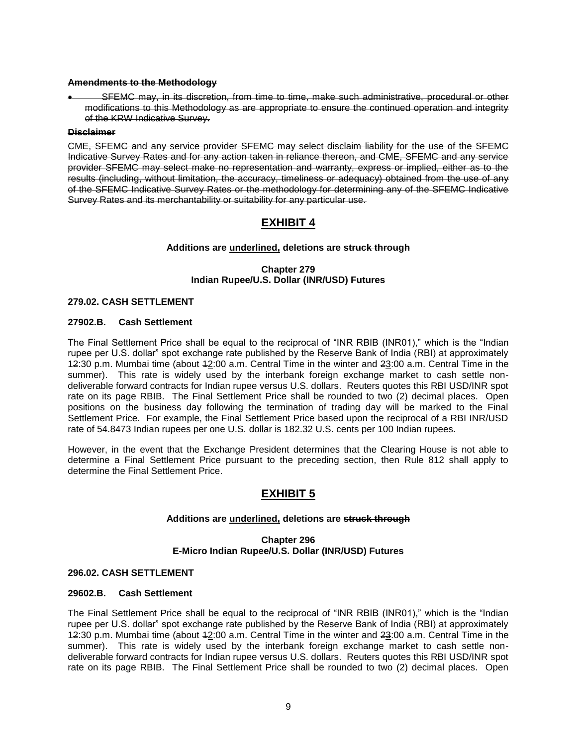#### **Amendments to the Methodology**

 SFEMC may, in its discretion, from time to time, make such administrative, procedural or other modifications to this Methodology as are appropriate to ensure the continued operation and integrity of the KRW Indicative Survey**.**

#### **Disclaimer**

CME, SFEMC and any service provider SFEMC may select disclaim liability for the use of the SFEMC Indicative Survey Rates and for any action taken in reliance thereon, and CME, SFEMC and any service provider SFEMC may select make no representation and warranty, express or implied, either as to the results (including, without limitation, the accuracy, timeliness or adequacy) obtained from the use of any of the SFEMC Indicative Survey Rates or the methodology for determining any of the SFEMC Indicative Survey Rates and its merchantability or suitability for any particular use.

# **EXHIBIT 4**

# **Additions are underlined, deletions are struck through**

# **Chapter 279 Indian Rupee/U.S. Dollar (INR/USD) Futures**

# **279.02. CASH SETTLEMENT**

# **27902.B. Cash Settlement**

The Final Settlement Price shall be equal to the reciprocal of "INR RBIB (INR01)," which is the "Indian rupee per U.S. dollar" spot exchange rate published by the Reserve Bank of India (RBI) at approximately 12:30 p.m. Mumbai time (about 12:00 a.m. Central Time in the winter and 23:00 a.m. Central Time in the summer). This rate is widely used by the interbank foreign exchange market to cash settle nondeliverable forward contracts for Indian rupee versus U.S. dollars. Reuters quotes this RBI USD/INR spot rate on its page RBIB. The Final Settlement Price shall be rounded to two (2) decimal places. Open positions on the business day following the termination of trading day will be marked to the Final Settlement Price. For example, the Final Settlement Price based upon the reciprocal of a RBI INR/USD rate of 54.8473 Indian rupees per one U.S. dollar is 182.32 U.S. cents per 100 Indian rupees.

However, in the event that the Exchange President determines that the Clearing House is not able to determine a Final Settlement Price pursuant to the preceding section, then Rule 812 shall apply to determine the Final Settlement Price.

# **EXHIBIT 5**

# **Additions are underlined, deletions are struck through**

### **Chapter 296 E-Micro Indian Rupee/U.S. Dollar (INR/USD) Futures**

#### **296.02. CASH SETTLEMENT**

#### **29602.B. Cash Settlement**

The Final Settlement Price shall be equal to the reciprocal of "INR RBIB (INR01)," which is the "Indian rupee per U.S. dollar" spot exchange rate published by the Reserve Bank of India (RBI) at approximately 12:30 p.m. Mumbai time (about 12:00 a.m. Central Time in the winter and 23:00 a.m. Central Time in the summer). This rate is widely used by the interbank foreign exchange market to cash settle nondeliverable forward contracts for Indian rupee versus U.S. dollars. Reuters quotes this RBI USD/INR spot rate on its page RBIB. The Final Settlement Price shall be rounded to two (2) decimal places. Open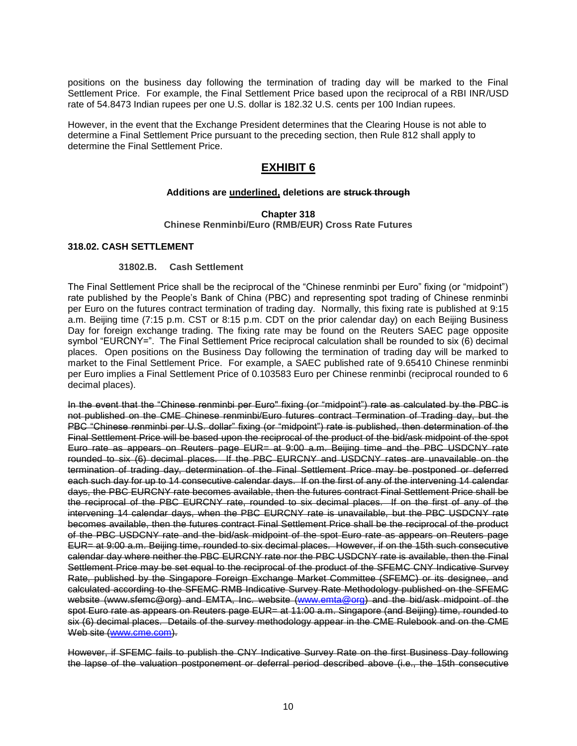positions on the business day following the termination of trading day will be marked to the Final Settlement Price. For example, the Final Settlement Price based upon the reciprocal of a RBI INR/USD rate of 54.8473 Indian rupees per one U.S. dollar is 182.32 U.S. cents per 100 Indian rupees.

However, in the event that the Exchange President determines that the Clearing House is not able to determine a Final Settlement Price pursuant to the preceding section, then Rule 812 shall apply to determine the Final Settlement Price.

# **EXHIBIT 6**

# **Additions are underlined, deletions are struck through**

#### **Chapter 318 Chinese Renminbi/Euro (RMB/EUR) Cross Rate Futures**

#### **318.02. CASH SETTLEMENT**

#### **31802.B. Cash Settlement**

The Final Settlement Price shall be the reciprocal of the "Chinese renminbi per Euro" fixing (or "midpoint") rate published by the People's Bank of China (PBC) and representing spot trading of Chinese renminbi per Euro on the futures contract termination of trading day. Normally, this fixing rate is published at 9:15 a.m. Beijing time (7:15 p.m. CST or 8:15 p.m. CDT on the prior calendar day) on each Beijing Business Day for foreign exchange trading. The fixing rate may be found on the Reuters SAEC page opposite symbol "EURCNY=". The Final Settlement Price reciprocal calculation shall be rounded to six (6) decimal places. Open positions on the Business Day following the termination of trading day will be marked to market to the Final Settlement Price. For example, a SAEC published rate of 9.65410 Chinese renminbi per Euro implies a Final Settlement Price of 0.103583 Euro per Chinese renminbi (reciprocal rounded to 6 decimal places).

In the event that the "Chinese renminbi per Euro" fixing (or "midpoint") rate as calculated by the PBC is not published on the CME Chinese renminbi/Euro futures contract Termination of Trading day, but the PBC "Chinese renminbi per U.S. dollar" fixing (or "midpoint") rate is published, then determination of the Final Settlement Price will be based upon the reciprocal of the product of the bid/ask midpoint of the spot Euro rate as appears on Reuters page EUR= at 9:00 a.m. Beijing time and the PBC USDCNY rate rounded to six (6) decimal places. If the PBC EURCNY and USDCNY rates are unavailable on the termination of trading day, determination of the Final Settlement Price may be postponed or deferred each such day for up to 14 consecutive calendar days. If on the first of any of the intervening 14 calendar days, the PBC EURCNY rate becomes available, then the futures contract Final Settlement Price shall be the reciprocal of the PBC EURCNY rate, rounded to six decimal places. If on the first of any of the intervening 14 calendar days, when the PBC EURCNY rate is unavailable, but the PBC USDCNY rate becomes available, then the futures contract Final Settlement Price shall be the reciprocal of the product of the PBC USDCNY rate and the bid/ask midpoint of the spot Euro rate as appears on Reuters page EUR= at 9:00 a.m. Beijing time, rounded to six decimal places. However, if on the 15th such consecutive calendar day where neither the PBC EURCNY rate nor the PBC USDCNY rate is available, then the Final Settlement Price may be set equal to the reciprocal of the product of the SFEMC CNY Indicative Survey Rate, published by the Singapore Foreign Exchange Market Committee (SFEMC) or its designee, and calculated according to the SFEMC RMB Indicative Survey Rate Methodology published on the SFEMC website (www.sfemc@org) and EMTA, Inc. website [\(www.emta@org\)](http://www.emta@org/) and the bid/ask midpoint of the spot Euro rate as appears on Reuters page EUR= at 11:00 a.m. Singapore (and Beijing) time, rounded to six (6) decimal places. Details of the survey methodology appear in the CME Rulebook and on the CME Web site [\(www.cme.com\)](http://www.cme.com/).

However, if SFEMC fails to publish the CNY Indicative Survey Rate on the first Business Day following the lapse of the valuation postponement or deferral period described above (i.e., the 15th consecutive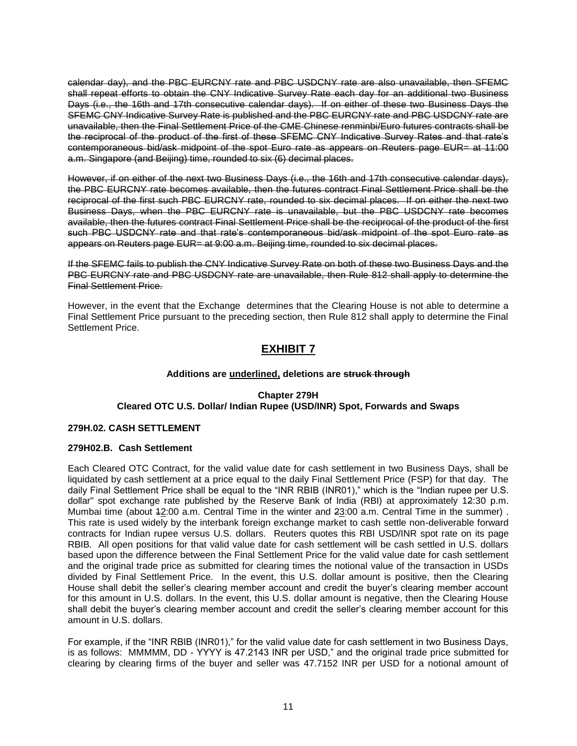calendar day), and the PBC EURCNY rate and PBC USDCNY rate are also unavailable, then SFEMC shall repeat efforts to obtain the CNY Indicative Survey Rate each day for an additional two Business Days (i.e., the 16th and 17th consecutive calendar days). If on either of these two Business Days the SFEMC CNY Indicative Survey Rate is published and the PBC EURCNY rate and PBC USDCNY rate are unavailable, then the Final Settlement Price of the CME Chinese renminbi/Euro futures contracts shall be the reciprocal of the product of the first of these SFEMC CNY Indicative Survey Rates and that rate's contemporaneous bid/ask midpoint of the spot Euro rate as appears on Reuters page EUR= at 11:00 a.m. Singapore (and Beijing) time, rounded to six (6) decimal places.

However, if on either of the next two Business Days (i.e., the 16th and 17th consecutive calendar days), the PBC EURCNY rate becomes available, then the futures contract Final Settlement Price shall be the reciprocal of the first such PBC EURCNY rate, rounded to six decimal places. If on either the next two Business Days, when the PBC EURCNY rate is unavailable, but the PBC USDCNY rate becomes available, then the futures contract Final Settlement Price shall be the reciprocal of the product of the first such PBC USDCNY rate and that rate's contemporaneous bid/ask midpoint of the spot Euro rate as appears on Reuters page EUR= at 9:00 a.m. Beijing time, rounded to six decimal places.

If the SFEMC fails to publish the CNY Indicative Survey Rate on both of these two Business Days and the PBC EURCNY rate and PBC USDCNY rate are unavailable, then Rule 812 shall apply to determine the Final Settlement Price.

However, in the event that the Exchange determines that the Clearing House is not able to determine a Final Settlement Price pursuant to the preceding section, then Rule 812 shall apply to determine the Final Settlement Price.

# **EXHIBIT 7**

# **Additions are underlined, deletions are struck through**

# **Chapter 279H Cleared OTC U.S. Dollar/ Indian Rupee (USD/INR) Spot, Forwards and Swaps**

# **279H.02. CASH SETTLEMENT**

# **279H02.B. Cash Settlement**

Each Cleared OTC Contract, for the valid value date for cash settlement in two Business Days, shall be liquidated by cash settlement at a price equal to the daily Final Settlement Price (FSP) for that day. The daily Final Settlement Price shall be equal to the "INR RBIB (INR01)," which is the "Indian rupee per U.S. dollar" spot exchange rate published by the Reserve Bank of India (RBI) at approximately 12:30 p.m. Mumbai time (about 12:00 a.m. Central Time in the winter and 23:00 a.m. Central Time in the summer) . This rate is used widely by the interbank foreign exchange market to cash settle non-deliverable forward contracts for Indian rupee versus U.S. dollars. Reuters quotes this RBI USD/INR spot rate on its page RBIB. All open positions for that valid value date for cash settlement will be cash settled in U.S. dollars based upon the difference between the Final Settlement Price for the valid value date for cash settlement and the original trade price as submitted for clearing times the notional value of the transaction in USDs divided by Final Settlement Price. In the event, this U.S. dollar amount is positive, then the Clearing House shall debit the seller's clearing member account and credit the buyer's clearing member account for this amount in U.S. dollars. In the event, this U.S. dollar amount is negative, then the Clearing House shall debit the buyer's clearing member account and credit the seller's clearing member account for this amount in U.S. dollars.

For example, if the "INR RBIB (INR01)," for the valid value date for cash settlement in two Business Days, is as follows: MMMMM, DD - YYYY is 47.2143 INR per USD," and the original trade price submitted for clearing by clearing firms of the buyer and seller was 47.7152 INR per USD for a notional amount of